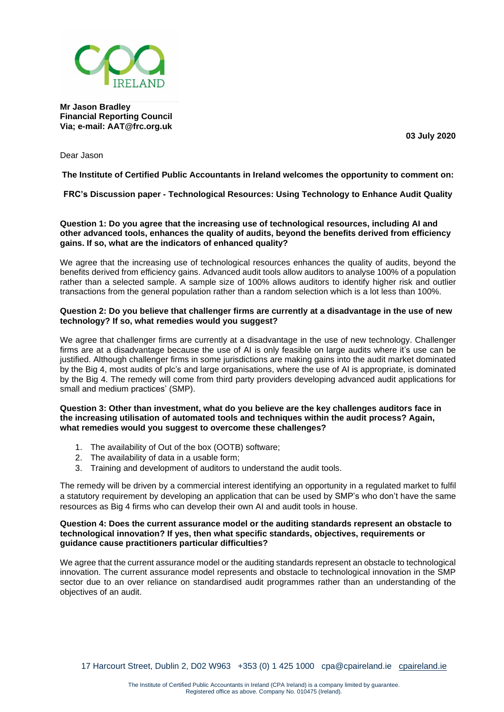

**Mr Jason Bradley Financial Reporting Council Via; e-mail: AAT@frc.org.uk**

**03 July 2020**

Dear Jason

**The Institute of Certified Public Accountants in Ireland welcomes the opportunity to comment on:**

**FRC's Discussion paper - Technological Resources: Using Technology to Enhance Audit Quality**

**Question 1: Do you agree that the increasing use of technological resources, including AI and other advanced tools, enhances the quality of audits, beyond the benefits derived from efficiency gains. If so, what are the indicators of enhanced quality?**

We agree that the increasing use of technological resources enhances the quality of audits, beyond the benefits derived from efficiency gains. Advanced audit tools allow auditors to analyse 100% of a population rather than a selected sample. A sample size of 100% allows auditors to identify higher risk and outlier transactions from the general population rather than a random selection which is a lot less than 100%.

# **Question 2: Do you believe that challenger firms are currently at a disadvantage in the use of new technology? If so, what remedies would you suggest?**

We agree that challenger firms are currently at a disadvantage in the use of new technology. Challenger firms are at a disadvantage because the use of AI is only feasible on large audits where it's use can be justified. Although challenger firms in some jurisdictions are making gains into the audit market dominated by the Big 4, most audits of plc's and large organisations, where the use of AI is appropriate, is dominated by the Big 4. The remedy will come from third party providers developing advanced audit applications for small and medium practices' (SMP).

#### **Question 3: Other than investment, what do you believe are the key challenges auditors face in the increasing utilisation of automated tools and techniques within the audit process? Again, what remedies would you suggest to overcome these challenges?**

- 1. The availability of Out of the box (OOTB) software;
- 2. The availability of data in a usable form;
- 3. Training and development of auditors to understand the audit tools.

The remedy will be driven by a commercial interest identifying an opportunity in a regulated market to fulfil a statutory requirement by developing an application that can be used by SMP's who don't have the same resources as Big 4 firms who can develop their own AI and audit tools in house.

#### **Question 4: Does the current assurance model or the auditing standards represent an obstacle to technological innovation? If yes, then what specific standards, objectives, requirements or guidance cause practitioners particular difficulties?**

We agree that the current assurance model or the auditing standards represent an obstacle to technological innovation. The current assurance model represents and obstacle to technological innovation in the SMP sector due to an over reliance on standardised audit programmes rather than an understanding of the objectives of an audit.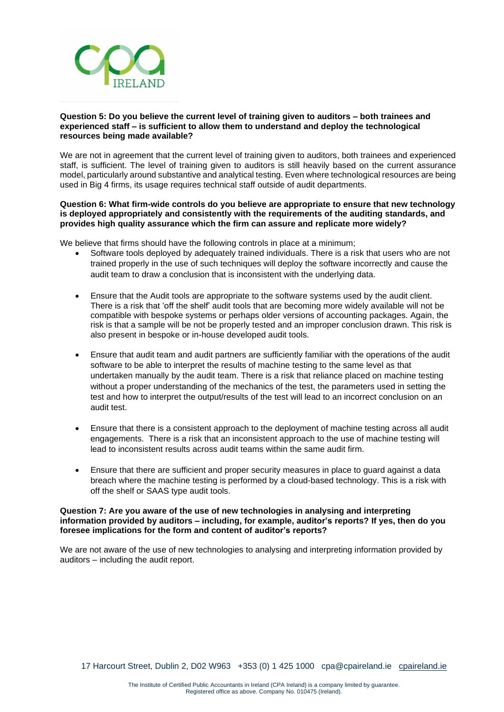

# **Question 5: Do you believe the current level of training given to auditors – both trainees and experienced staff – is sufficient to allow them to understand and deploy the technological resources being made available?**

We are not in agreement that the current level of training given to auditors, both trainees and experienced staff, is sufficient. The level of training given to auditors is still heavily based on the current assurance model, particularly around substantive and analytical testing. Even where technological resources are being used in Big 4 firms, its usage requires technical staff outside of audit departments.

### **Question 6: What firm-wide controls do you believe are appropriate to ensure that new technology is deployed appropriately and consistently with the requirements of the auditing standards, and provides high quality assurance which the firm can assure and replicate more widely?**

We believe that firms should have the following controls in place at a minimum;

- Software tools deployed by adequately trained individuals. There is a risk that users who are not trained properly in the use of such techniques will deploy the software incorrectly and cause the audit team to draw a conclusion that is inconsistent with the underlying data.
- Ensure that the Audit tools are appropriate to the software systems used by the audit client. There is a risk that 'off the shelf' audit tools that are becoming more widely available will not be compatible with bespoke systems or perhaps older versions of accounting packages. Again, the risk is that a sample will be not be properly tested and an improper conclusion drawn. This risk is also present in bespoke or in-house developed audit tools.
- Ensure that audit team and audit partners are sufficiently familiar with the operations of the audit software to be able to interpret the results of machine testing to the same level as that undertaken manually by the audit team. There is a risk that reliance placed on machine testing without a proper understanding of the mechanics of the test, the parameters used in setting the test and how to interpret the output/results of the test will lead to an incorrect conclusion on an audit test.
- Ensure that there is a consistent approach to the deployment of machine testing across all audit engagements. There is a risk that an inconsistent approach to the use of machine testing will lead to inconsistent results across audit teams within the same audit firm.
- Ensure that there are sufficient and proper security measures in place to guard against a data breach where the machine testing is performed by a cloud-based technology. This is a risk with off the shelf or SAAS type audit tools.

#### **Question 7: Are you aware of the use of new technologies in analysing and interpreting information provided by auditors – including, for example, auditor's reports? If yes, then do you foresee implications for the form and content of auditor's reports?**

We are not aware of the use of new technologies to analysing and interpreting information provided by auditors – including the audit report.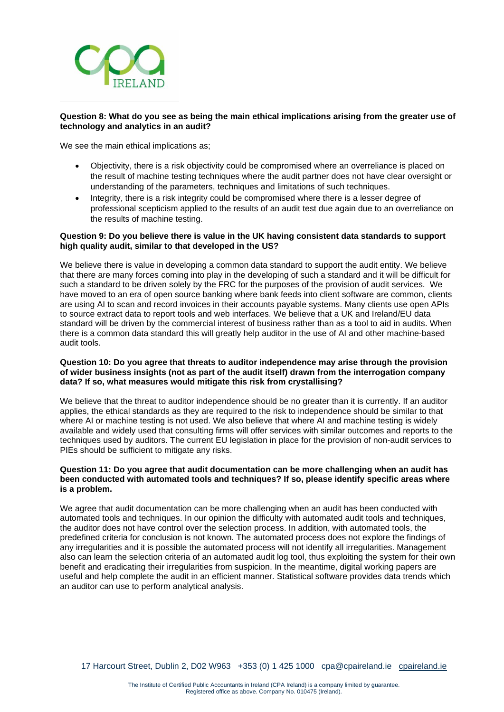

# **Question 8: What do you see as being the main ethical implications arising from the greater use of technology and analytics in an audit?**

We see the main ethical implications as;

- Objectivity, there is a risk objectivity could be compromised where an overreliance is placed on the result of machine testing techniques where the audit partner does not have clear oversight or understanding of the parameters, techniques and limitations of such techniques.
- Integrity, there is a risk integrity could be compromised where there is a lesser degree of professional scepticism applied to the results of an audit test due again due to an overreliance on the results of machine testing.

# **Question 9: Do you believe there is value in the UK having consistent data standards to support high quality audit, similar to that developed in the US?**

We believe there is value in developing a common data standard to support the audit entity. We believe that there are many forces coming into play in the developing of such a standard and it will be difficult for such a standard to be driven solely by the FRC for the purposes of the provision of audit services. We have moved to an era of open source banking where bank feeds into client software are common, clients are using AI to scan and record invoices in their accounts payable systems. Many clients use open APIs to source extract data to report tools and web interfaces. We believe that a UK and Ireland/EU data standard will be driven by the commercial interest of business rather than as a tool to aid in audits. When there is a common data standard this will greatly help auditor in the use of AI and other machine-based audit tools.

### **Question 10: Do you agree that threats to auditor independence may arise through the provision of wider business insights (not as part of the audit itself) drawn from the interrogation company data? If so, what measures would mitigate this risk from crystallising?**

We believe that the threat to auditor independence should be no greater than it is currently. If an auditor applies, the ethical standards as they are required to the risk to independence should be similar to that where AI or machine testing is not used. We also believe that where AI and machine testing is widely available and widely used that consulting firms will offer services with similar outcomes and reports to the techniques used by auditors. The current EU legislation in place for the provision of non-audit services to PIEs should be sufficient to mitigate any risks.

# **Question 11: Do you agree that audit documentation can be more challenging when an audit has been conducted with automated tools and techniques? If so, please identify specific areas where is a problem.**

We agree that audit documentation can be more challenging when an audit has been conducted with automated tools and techniques. In our opinion the difficulty with automated audit tools and techniques, the auditor does not have control over the selection process. In addition, with automated tools, the predefined criteria for conclusion is not known. The automated process does not explore the findings of any irregularities and it is possible the automated process will not identify all irregularities. Management also can learn the selection criteria of an automated audit log tool, thus exploiting the system for their own benefit and eradicating their irregularities from suspicion. In the meantime, digital working papers are useful and help complete the audit in an efficient manner. Statistical software provides data trends which an auditor can use to perform analytical analysis.